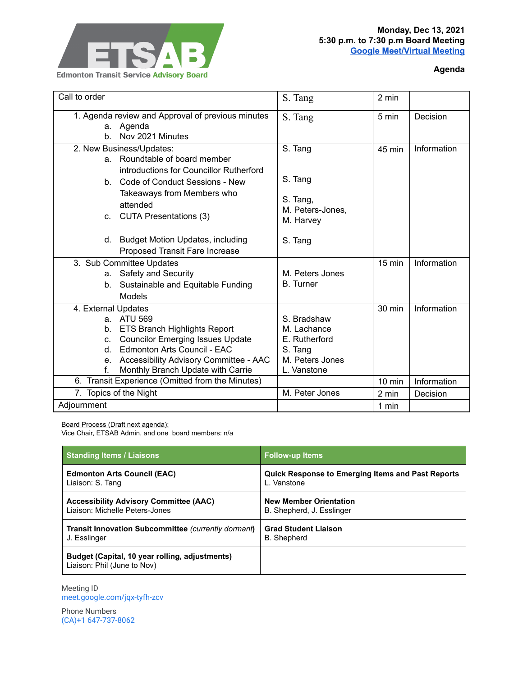

## **Agenda**

| Call to order                                    |                                                                                                                                                                                                                          | S. Tang                                                         | 2 min            |             |
|--------------------------------------------------|--------------------------------------------------------------------------------------------------------------------------------------------------------------------------------------------------------------------------|-----------------------------------------------------------------|------------------|-------------|
| h.                                               | 1. Agenda review and Approval of previous minutes<br>a. Agenda<br>Nov 2021 Minutes                                                                                                                                       | S. Tang                                                         | 5 min            | Decision    |
| b.<br>C.                                         | 2. New Business/Updates:<br>a. Roundtable of board member<br>introductions for Councillor Rutherford<br><b>Code of Conduct Sessions - New</b><br>Takeaways from Members who<br>attended<br><b>CUTA Presentations (3)</b> | S. Tang<br>S. Tang<br>S. Tang,<br>M. Peters-Jones,<br>M. Harvey | 45 min           | Information |
| d.                                               | <b>Budget Motion Updates, including</b><br>Proposed Transit Fare Increase                                                                                                                                                | S. Tang                                                         |                  |             |
| 3. Sub Committee Updates                         |                                                                                                                                                                                                                          |                                                                 | $15 \text{ min}$ | Information |
| a.                                               | <b>Safety and Security</b>                                                                                                                                                                                               | M. Peters Jones                                                 |                  |             |
| b.                                               | Sustainable and Equitable Funding                                                                                                                                                                                        | <b>B.</b> Turner                                                |                  |             |
|                                                  | Models                                                                                                                                                                                                                   |                                                                 |                  |             |
| 4. External Updates                              |                                                                                                                                                                                                                          |                                                                 | 30 min           | Information |
|                                                  | a. ATU 569                                                                                                                                                                                                               | S. Bradshaw                                                     |                  |             |
| b.                                               | ETS Branch Highlights Report                                                                                                                                                                                             | M. Lachance                                                     |                  |             |
| C.                                               | <b>Councilor Emerging Issues Update</b>                                                                                                                                                                                  | E. Rutherford                                                   |                  |             |
| d.                                               | <b>Edmonton Arts Council - EAC</b>                                                                                                                                                                                       | S. Tang                                                         |                  |             |
| е.                                               | Accessibility Advisory Committee - AAC                                                                                                                                                                                   | M. Peters Jones                                                 |                  |             |
| f.                                               | Monthly Branch Update with Carrie                                                                                                                                                                                        | L. Vanstone                                                     |                  |             |
| 6. Transit Experience (Omitted from the Minutes) |                                                                                                                                                                                                                          |                                                                 | 10 min           | Information |
| 7. Topics of the Night                           |                                                                                                                                                                                                                          | M. Peter Jones                                                  | 2 min            | Decision    |
| Adjournment                                      |                                                                                                                                                                                                                          |                                                                 | 1 min            |             |

Board Process (Draft next agenda):

Vice Chair, ETSAB Admin, and one board members: n/a

| <b>Standing Items / Liaisons</b>                                              | <b>Follow-up Items</b>                                   |  |  |
|-------------------------------------------------------------------------------|----------------------------------------------------------|--|--|
| <b>Edmonton Arts Council (EAC)</b>                                            | <b>Quick Response to Emerging Items and Past Reports</b> |  |  |
| Liaison: S. Tang                                                              | L. Vanstone                                              |  |  |
| <b>Accessibility Advisory Committee (AAC)</b>                                 | <b>New Member Orientation</b>                            |  |  |
| Liaison: Michelle Peters-Jones                                                | B. Shepherd, J. Esslinger                                |  |  |
| <b>Transit Innovation Subcommittee (currently dormant)</b>                    | <b>Grad Student Liaison</b>                              |  |  |
| J. Esslinger                                                                  | <b>B.</b> Shepherd                                       |  |  |
| Budget (Capital, 10 year rolling, adjustments)<br>Liaison: Phil (June to Nov) |                                                          |  |  |

Meeting ID [meet.google.com/jqx-tyfh-zcv](https://meet.google.com/jqx-tyfh-zcv?hs=122&authuser=0)

Phone Numbers (CA)+1 647-737-8062